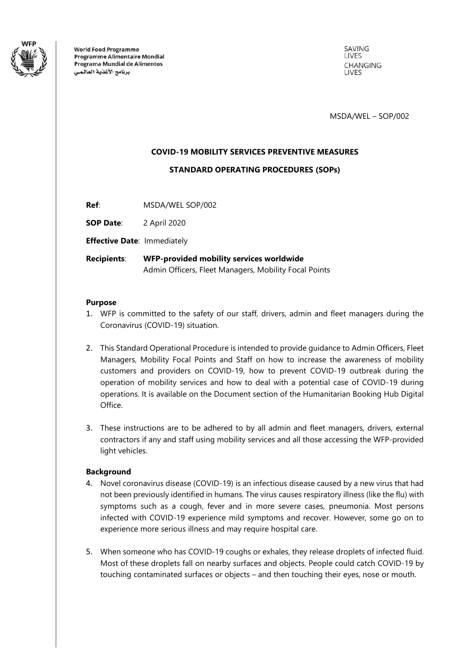

**World Food Programme Programme Alimentaire Mondial** Programa Mundial de Alimentos برنامج الأغذية العالمي

SAVING **LIVES CHANGING I IVES** 

MSDA/WEL – SOP/002

# **COVID-19 MOBILITY SERVICES PREVENTIVE MEASURES**

**STANDARD OPERATING PROCEDURES (SOPs)**

**Ref**: MSDA/WEL SOP/002

**SOP Date**: 2 April 2020

**Effective Date**: Immediately

**Recipients**: **WFP-provided mobility services worldwide** Admin Officers, Fleet Managers, Mobility Focal Points

#### **Purpose**

- 1. WFP is committed to the safety of our staff, drivers, admin and fleet managers during the Coronavirus (COVID-19) situation.
- 2. This Standard Operational Procedure is intended to provide guidance to Admin Officers, Fleet Managers, Mobility Focal Points and Staff on how to increase the awareness of mobility customers and providers on COVID-19, how to prevent COVID-19 outbreak during the operation of mobility services and how to deal with a potential case of COVID-19 during operations. It is available on the Document section of the Humanitarian Booking Hub Digital Office.
- 3. These instructions are to be adhered to by all admin and fleet managers, drivers, external contractors if any and staff using mobility services and all those accessing the WFP-provided light vehicles.

# **Background**

- 4. Novel coronavirus disease (COVID-19) is an infectious disease caused by a new virus that had not been previously identified in humans. The virus causes respiratory illness (like the flu) with symptoms such as a cough, fever and in more severe cases, pneumonia. Most persons infected with COVID-19 experience mild symptoms and recover. However, some go on to experience more serious illness and may require hospital care.
- 5. When someone who has COVID-19 coughs or exhales, they release droplets of infected fluid. Most of these droplets fall on nearby surfaces and objects. People could catch COVID-19 by touching contaminated surfaces or objects – and then touching their eyes, nose or mouth.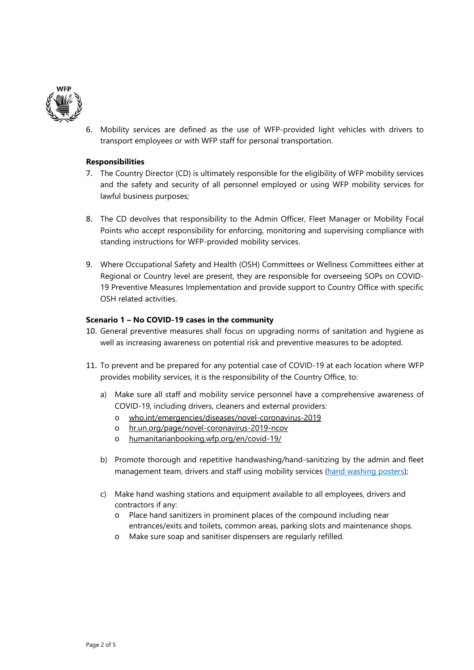

6. Mobility services are defined as the use of WFP-provided light vehicles with drivers to transport employees or with WFP staff for personal transportation.

#### **Responsibilities**

- 7. The Country Director (CD) is ultimately responsible for the eligibility of WFP mobility services and the safety and security of all personnel employed or using WFP mobility services for lawful business purposes;
- 8. The CD devolves that responsibility to the Admin Officer, Fleet Manager or Mobility Focal Points who accept responsibility for enforcing, monitoring and supervising compliance with standing instructions for WFP-provided mobility services.
- 9. Where Occupational Safety and Health (OSH) Committees or Wellness Committees either at Regional or Country level are present, they are responsible for overseeing SOPs on COVID-19 Preventive Measures Implementation and provide support to Country Office with specific OSH related activities.

## **Scenario 1 – No COVID-19 cases in the community**

- 10. General preventive measures shall focus on upgrading norms of sanitation and hygiene as well as increasing awareness on potential risk and preventive measures to be adopted.
- 11. To prevent and be prepared for any potential case of COVID-19 at each location where WFP provides mobility services, it is the responsibility of the Country Office, to:
	- a) Make sure all staff and mobility service personnel have a comprehensive awareness of COVID-19, including drivers, cleaners and external providers:
		- o who.int/emergencies/diseases/novel-coronavirus-2019
		- o [hr.un.org/page/novel-coronavirus-2019-ncov](https://hr.un.org/page/novel-coronavirus-2019-ncov)
		- o [humanitarianbooking.wfp.org/en/covid-19/](https://humanitarianbooking.wfp.org/en/covid-19/)
	- b) Promote thorough and repetitive handwashing/hand-sanitizing by the admin and fleet management team, drivers and staff using mobility services [\(hand washing posters\)](https://www.who.int/gpsc/5may/Hand_Hygiene_Why_How_and_When_Brochure.pdf);
	- c) Make hand washing stations and equipment available to all employees, drivers and contractors if any:
		- o Place hand sanitizers in prominent places of the compound including near entrances/exits and toilets, common areas, parking slots and maintenance shops.
		- o Make sure soap and sanitiser dispensers are regularly refilled.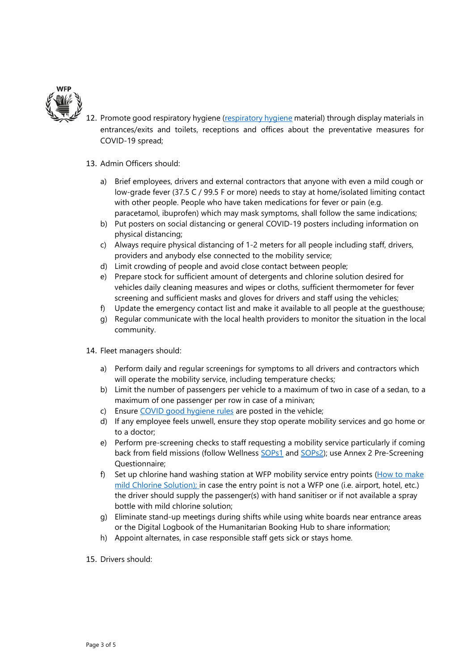

12. Promote good respiratory hygiene [\(respiratory hygiene](https://humanitarianbooking.wfp.org/en/secure/office/locations/11/resources/documents/) material) through display materials in entrances/exits and toilets, receptions and offices about the preventative measures for COVID-19 spread;

#### 13. Admin Officers should:

- a) Brief employees, drivers and external contractors that anyone with even a mild cough or low-grade fever (37.5 C / 99.5 F or more) needs to stay at home/isolated limiting contact with other people. People who have taken medications for fever or pain (e.g. paracetamol, ibuprofen) which may mask symptoms, shall follow the same indications;
- b) Put posters on social distancing or general COVID-19 posters including information on physical distancing;
- c) Always require physical distancing of 1-2 meters for all people including staff, drivers, providers and anybody else connected to the mobility service;
- d) Limit crowding of people and avoid close contact between people;
- e) Prepare stock for sufficient amount of detergents and chlorine solution desired for vehicles daily cleaning measures and wipes or cloths, sufficient thermometer for fever screening and sufficient masks and gloves for drivers and staff using the vehicles;
- f) Update the emergency contact list and make it available to all people at the guesthouse;
- g) Regular communicate with the local health providers to monitor the situation in the local community.
- 14. Fleet managers should:
	- a) Perform daily and regular screenings for symptoms to all drivers and contractors which will operate the mobility service, including temperature checks;
	- b) Limit the number of passengers per vehicle to a maximum of two in case of a sedan, to a maximum of one passenger per row in case of a minivan;
	- c) Ensure [COVID good hygiene rules](https://humanitarianbooking.wfp.org/en/secure/office/locations/11/resources/documents/) are posted in the vehicle;
	- d) If any employee feels unwell, ensure they stop operate mobility services and go home or to a doctor;
	- e) Perform pre-screening checks to staff requesting a mobility service particularly if coming back from field missions (follow Wellness [SOPs1](https://prod-static.humanitarianbooking.wfp.org/public/media/files/en/SOP_1_Building_Entry_COVID.pdf) and [SOPs2\)](https://prod-static.humanitarianbooking.wfp.org/public/media/files/en/SOP_2_Temperature_Check_COVID.pdf); use Annex 2 Pre-Screening Questionnaire;
	- f) Set up chlorine hand washing station at WFP mobility service entry points ( $How to make$ [mild Chlorine Solution\);](https://prod-static.humanitarianbooking.wfp.org/public/media/files/en/cleaning-handwashing-5percent-liquid-bleach.pdf) in case the entry point is not a WFP one (i.e. airport, hotel, etc.) the driver should supply the passenger(s) with hand sanitiser or if not available a spray bottle with mild chlorine solution;
	- g) Eliminate stand-up meetings during shifts while using white boards near entrance areas or the Digital Logbook of the Humanitarian Booking Hub to share information;
	- h) Appoint alternates, in case responsible staff gets sick or stays home.
- 15. Drivers should: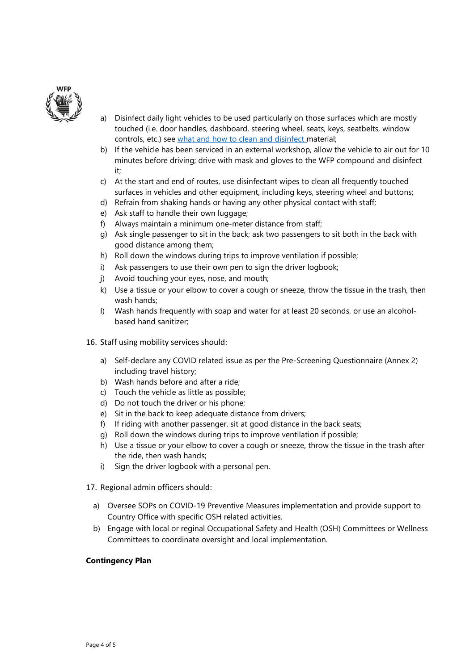

- a) Disinfect daily light vehicles to be used particularly on those surfaces which are mostly touched (i.e. door handles, dashboard, steering wheel, seats, keys, seatbelts, window controls, etc.) see [what and how to clean and disinfect](https://humanitarianbooking.wfp.org/en/secure/office/locations/11/resources/documents/) material;
- b) If the vehicle has been serviced in an external workshop, allow the vehicle to air out for 10 minutes before driving; drive with mask and gloves to the WFP compound and disinfect it;
- c) At the start and end of routes, use disinfectant wipes to clean all frequently touched surfaces in vehicles and other equipment, including keys, steering wheel and buttons;
- d) Refrain from shaking hands or having any other physical contact with staff;
- e) Ask staff to handle their own luggage;
- f) Always maintain a minimum one-meter distance from staff;
- g) Ask single passenger to sit in the back; ask two passengers to sit both in the back with good distance among them;
- h) Roll down the windows during trips to improve ventilation if possible;
- i) Ask passengers to use their own pen to sign the driver logbook;
- j) Avoid touching your eyes, nose, and mouth;
- k) Use a tissue or your elbow to cover a cough or sneeze, throw the tissue in the trash, then wash hands;
- l) Wash hands frequently with soap and water for at least 20 seconds, or use an alcoholbased hand sanitizer;
- 16. Staff using mobility services should:
	- a) Self-declare any COVID related issue as per the Pre-Screening Questionnaire (Annex 2) including travel history;
	- b) Wash hands before and after a ride;
	- c) Touch the vehicle as little as possible;
	- d) Do not touch the driver or his phone;
	- e) Sit in the back to keep adequate distance from drivers;
	- f) If riding with another passenger, sit at good distance in the back seats;
	- g) Roll down the windows during trips to improve ventilation if possible;
	- h) Use a tissue or your elbow to cover a cough or sneeze, throw the tissue in the trash after the ride, then wash hands;
	- i) Sign the driver logbook with a personal pen.
- 17. Regional admin officers should:
	- a) Oversee SOPs on COVID-19 Preventive Measures implementation and provide support to Country Office with specific OSH related activities.
	- b) Engage with local or reginal Occupational Safety and Health (OSH) Committees or Wellness Committees to coordinate oversight and local implementation.

#### **Contingency Plan**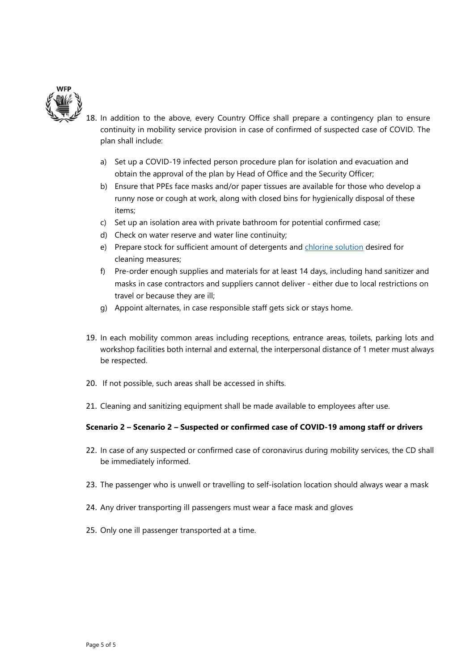

- 18. In addition to the above, every Country Office shall prepare a contingency plan to ensure continuity in mobility service provision in case of confirmed of suspected case of COVID. The plan shall include:
	- a) Set up a COVID-19 infected person procedure plan for isolation and evacuation and obtain the approval of the plan by Head of Office and the Security Officer;
	- b) Ensure that PPEs face masks and/or paper tissues are available for those who develop a runny nose or cough at work, along with closed bins for hygienically disposal of these items;
	- c) Set up an isolation area with private bathroom for potential confirmed case;
	- d) Check on water reserve and water line continuity;
	- e) Prepare stock for sufficient amount of detergents and [chlorine solution](https://prod-static.humanitarianbooking.wfp.org/public/media/files/en/chlorine-solution-liquid-mild.pdf) desired for cleaning measures;
	- f) Pre-order enough supplies and materials for at least 14 days, including hand sanitizer and masks in case contractors and suppliers cannot deliver - either due to local restrictions on travel or because they are ill;
	- g) Appoint alternates, in case responsible staff gets sick or stays home.
- 19. In each mobility common areas including receptions, entrance areas, toilets, parking lots and workshop facilities both internal and external, the interpersonal distance of 1 meter must always be respected.
- 20. If not possible, such areas shall be accessed in shifts.
- 21. Cleaning and sanitizing equipment shall be made available to employees after use.

# **Scenario 2 – Scenario 2 – Suspected or confirmed case of COVID-19 among staff or drivers**

- 22. In case of any suspected or confirmed case of coronavirus during mobility services, the CD shall be immediately informed.
- 23. The passenger who is unwell or travelling to self-isolation location should always wear a mask
- 24. Any driver transporting ill passengers must wear a face mask and gloves
- 25. Only one ill passenger transported at a time.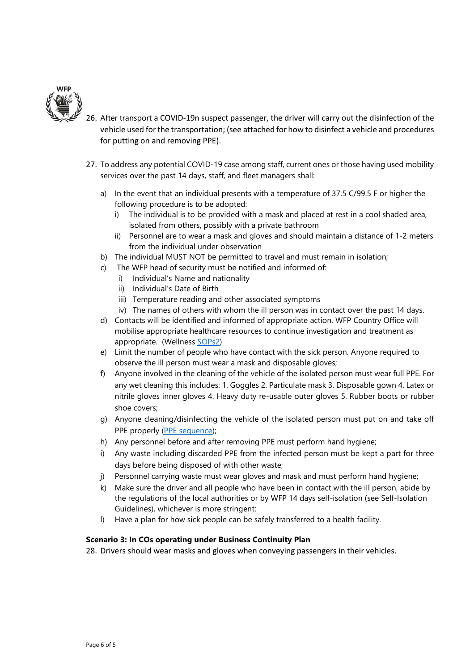

- 26. After transport a COVID-19n suspect passenger, the driver will carry out the disinfection of the vehicle used for the transportation; (see attached for how to disinfect a vehicle and procedures for putting on and removing PPE).
- 27. To address any potential COVID-19 case among staff, current ones or those having used mobility services over the past 14 days, staff, and fleet managers shall:
	- a) In the event that an individual presents with a temperature of 37.5 C/99.5 F or higher the following procedure is to be adopted:
		- i) The individual is to be provided with a mask and placed at rest in a cool shaded area, isolated from others, possibly with a private bathroom
		- ii) Personnel are to wear a mask and gloves and should maintain a distance of 1-2 meters from the individual under observation
	- b) The individual MUST NOT be permitted to travel and must remain in isolation;
	- c) The WFP head of security must be notified and informed of:
		- i) Individual's Name and nationality
		- ii) Individual's Date of Birth
		- iii) Temperature reading and other associated symptoms
		- iv) The names of others with whom the ill person was in contact over the past 14 days.
	- d) Contacts will be identified and informed of appropriate action. WFP Country Office will mobilise appropriate healthcare resources to continue investigation and treatment as appropriate. (Wellness [SOPs2\)](https://prod-static.humanitarianbooking.wfp.org/public/media/files/en/SOP_2_Temperature_Check_COVID.pdf)
	- e) Limit the number of people who have contact with the sick person. Anyone required to observe the ill person must wear a mask and disposable gloves;
	- f) Anyone involved in the cleaning of the vehicle of the isolated person must wear full PPE. For any wet cleaning this includes: 1. Goggles 2. Particulate mask 3. Disposable gown 4. Latex or nitrile gloves inner gloves 4. Heavy duty re-usable outer gloves 5. Rubber boots or rubber shoe covers;
	- g) Anyone cleaning/disinfecting the vehicle of the isolated person must put on and take off PPE properly [\(PPE sequence\)](https://prod-static.humanitarianbooking.wfp.org/public/media/files/en/SEQUENCE__PPE__CDC2_page.pdf);
	- h) Any personnel before and after removing PPE must perform hand hygiene;
	- i) Any waste including discarded PPE from the infected person must be kept a part for three days before being disposed of with other waste;
	- j) Personnel carrying waste must wear gloves and mask and must perform hand hygiene;
	- k) Make sure the driver and all people who have been in contact with the ill person, abide by the regulations of the local authorities or by WFP 14 days self-isolation (see Self-Isolation Guidelines), whichever is more stringent;
	- l) Have a plan for how sick people can be safely transferred to a health facility.

#### **Scenario 3: In COs operating under Business Continuity Plan**

28. Drivers should wear masks and gloves when conveying passengers in their vehicles.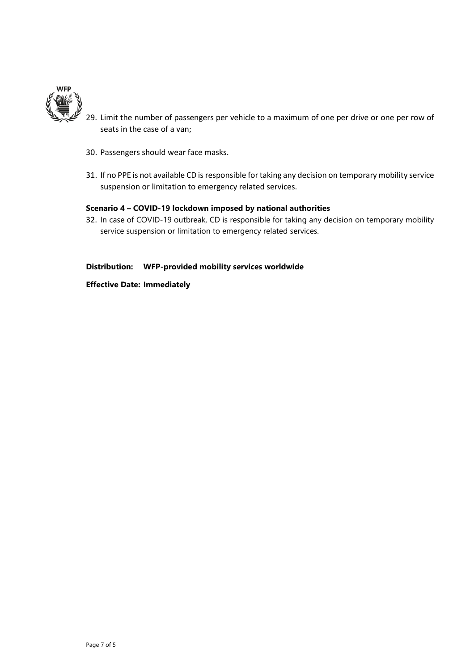

- 29. Limit the number of passengers per vehicle to a maximum of one per drive or one per row of seats in the case of a van;
- 30. Passengers should wear face masks.
- 31. If no PPE is not available CD is responsible for taking any decision on temporary mobility service suspension or limitation to emergency related services.

## **Scenario 4 – COVID-19 lockdown imposed by national authorities**

32. In case of COVID-19 outbreak, CD is responsible for taking any decision on temporary mobility service suspension or limitation to emergency related services.

# **Distribution: WFP-provided mobility services worldwide**

**Effective Date: Immediately**